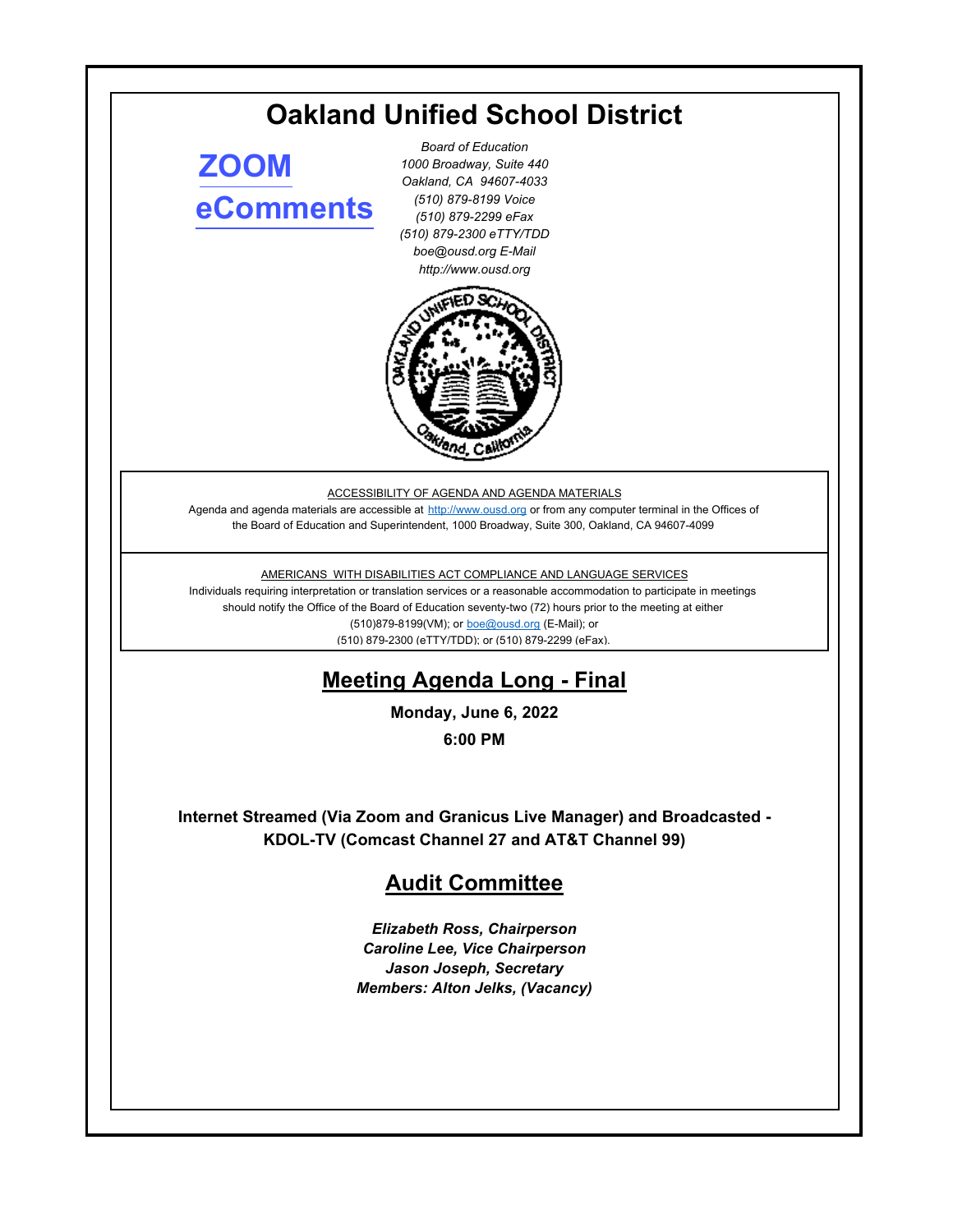# **Oakland Unified School District**

**[ZOOM](https://ousd.zoom.us/j/89801640341) [eComments](https://ousd.granicusideas.com/meetings/2346-audit-committee-on-2022-06-06-6-00-pm)**

*Board of Education 1000 Broadway, Suite 440 Oakland, CA 94607-4033 (510) 879-8199 Voice (510) 879-2299 eFax (510) 879-2300 eTTY/TDD boe@ousd.org E-Mail http://www.ousd.org*



ACCESSIBILITY OF AGENDA AND AGENDA MATERIALS

Agenda and agenda materials are accessible at http://www.ousd.org or from any computer terminal in the Offices of the Board of Education and Superintendent, 1000 Broadway, Suite 300, Oakland, CA 94607-4099

#### AMERICANS WITH DISABILITIES ACT COMPLIANCE AND LANGUAGE SERVICES

Individuals requiring interpretation or translation services or a reasonable accommodation to participate in meetings should notify the Office of the Board of Education seventy-two (72) hours prior to the meeting at either (510)879-8199(VM); or boe@ousd.org (E-Mail); or (510) 879-2300 (eTTY/TDD); or (510) 879-2299 (eFax).

## **Meeting Agenda Long - Final**

**Monday, June 6, 2022**

**6:00 PM**

**Internet Streamed (Via Zoom and Granicus Live Manager) and Broadcasted - KDOL-TV (Comcast Channel 27 and AT&T Channel 99)**

## **Audit Committee**

*Elizabeth Ross, Chairperson Caroline Lee, Vice Chairperson Jason Joseph, Secretary Members: Alton Jelks, (Vacancy)*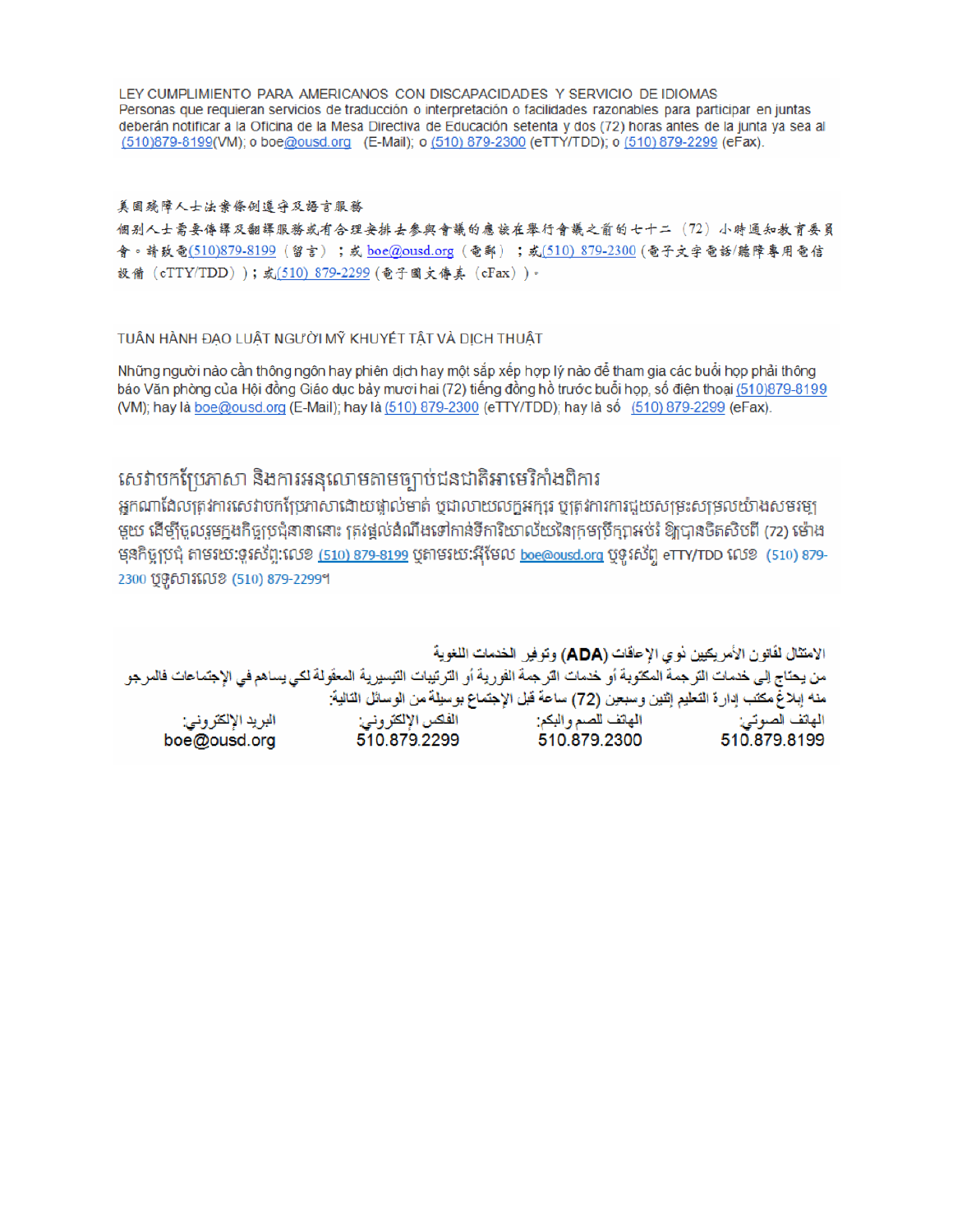LEY CUMPLIMIENTO PARA AMERICANOS CON DISCAPACIDADES Y SERVICIO DE IDIOMAS Personas que requieran servicios de traducción o interpretación o facilidades razonables para participar en juntas deberán notificar a la Oficina de la Mesa Directiva de Educación setenta y dos (72) horas antes de la junta ya sea al (510)879-8199(VM); o boe@ousd.org (E-Mail); o (510) 879-2300 (eTTY/TDD); o (510) 879-2299 (eFax).

#### 美国残障人士法案條例遵守及語言服務

個别人士需要傳譯及翻譯服務或有合理安排去參與會議的應該在舉行會議之前的七十二(72)小時通知教育委員 會。請致電(510)879-8199(留言);或 boe@ousd.org (電郵) ;或(510) 879-2300 (電子文字電話/聽障專用電信 設備 (eTTY/TDD));或(510) 879-2299 (電子圖文傳真 (eFax))。

#### TUẦN HÀNH ĐẠO LUẬT NGƯỜI MỸ KHUYẾT TẤT VÀ DỊCH THUẬT

Những người nào cần thông ngôn hay phiên dịch hay một sắp xếp hợp lý nào để tham gia các buổi họp phải thông báo Văn phòng của Hội đồng Giáo dục bảy mươi hai (72) tiếng đồng hồ trước buổi họp, số điện thoại (510)879-8199 (VM); hay là boe@ousd.org (E-Mail); hay là (510) 879-2300 (eTTY/TDD); hay là số (510) 879-2299 (eFax).

## សេវាបកប្រែភាសា និងការអនុលោមតាមច្បាប់ជនជាតិអាមេរិកាំងពិការ

អកណាដែលត្រូវការសេវាបកប្រែភាសាដោយផ្ទាល់មាត់ ឬជាលាយលក្ខអក្សរ ឬត្រូវការការជួយសម្រះសម្រលយ៉ាងសមរម្យ មួយ ដើម្បីចូលរួមក្នុងកិច្ចប្រជុំនានានោះ ត្រវង្គល់ដំណឹងទៅកាន់ទីការិយាល័យនៃក្រមប្រឹក្សាអប់រំ ឱ្យបានចិតសិបពី (72) ម៉ោង មុនកិច្ចប្រជុំ តាមរយៈទូរស័ព្ទ:លេខ <u>(510) 879-8199</u> បុតាមរយៈអ៊ីមែល <u>boe@ousd.org</u> បុទូរស័ព្ទ eTTY/TDD លេខ (510) 879-2300 ប៊ូទូសារលេខ (510) 879-2299។

الامتثال لقانون الأمريكيين نو ي الإعاقات (ADA) وتوفير الخدمات اللغوية من يحتاج إلى خدمات الترجمة المكتوبة أو خدمات الترجمة الفورية أو الترتيبات التيسيرية المعفّولة لكي يساهم في الإجتماعات فالمرجو منه إبلاغ مكتب إدارة التعليم إثنين وسبعين (72) ساعة قبل الإجتماع بوسيلة من الوسائل التالية: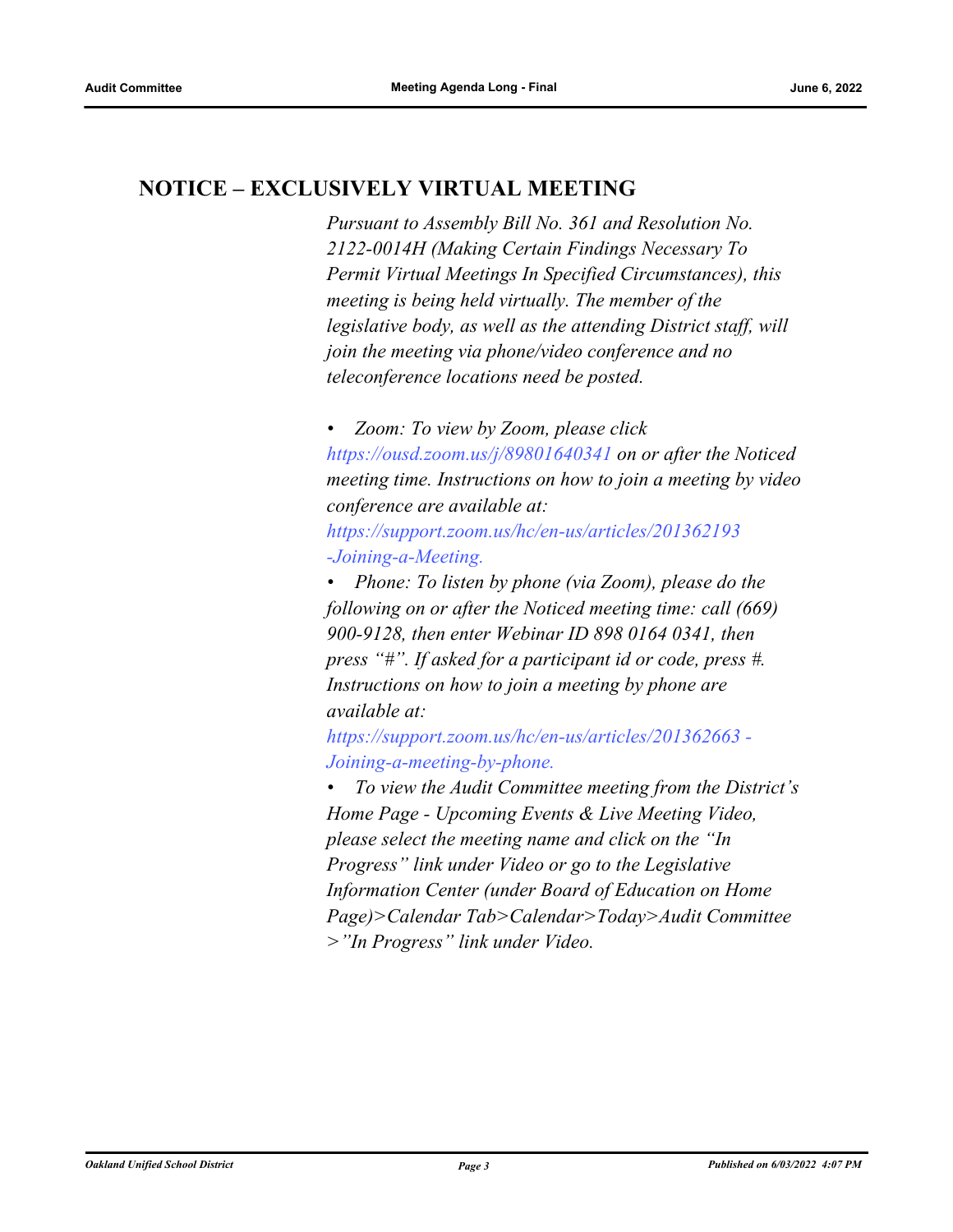### **NOTICE – EXCLUSIVELY VIRTUAL MEETING**

*Pursuant to Assembly Bill No. 361 and Resolution No. 2122-0014H (Making Certain Findings Necessary To Permit Virtual Meetings In Specified Circumstances), this meeting is being held virtually. The member of the legislative body, as well as the attending District staff, will join the meeting via phone/video conference and no teleconference locations need be posted.* 

*• Zoom: To view by Zoom, please click https://ousd.zoom.us/j/89801640341 on or after the Noticed meeting time. Instructions on how to join a meeting by video conference are available at:*

*https://support.zoom.us/hc/en-us/articles/201362193 -Joining-a-Meeting.*

*• Phone: To listen by phone (via Zoom), please do the following on or after the Noticed meeting time: call (669) 900-9128, then enter Webinar ID 898 0164 0341, then press "#". If asked for a participant id or code, press #. Instructions on how to join a meeting by phone are available at:*

*https://support.zoom.us/hc/en-us/articles/201362663 - Joining-a-meeting-by-phone.*

*• To view the Audit Committee meeting from the District's Home Page - Upcoming Events & Live Meeting Video, please select the meeting name and click on the "In Progress" link under Video or go to the Legislative Information Center (under Board of Education on Home Page)>Calendar Tab>Calendar>Today>Audit Committee >"In Progress" link under Video.*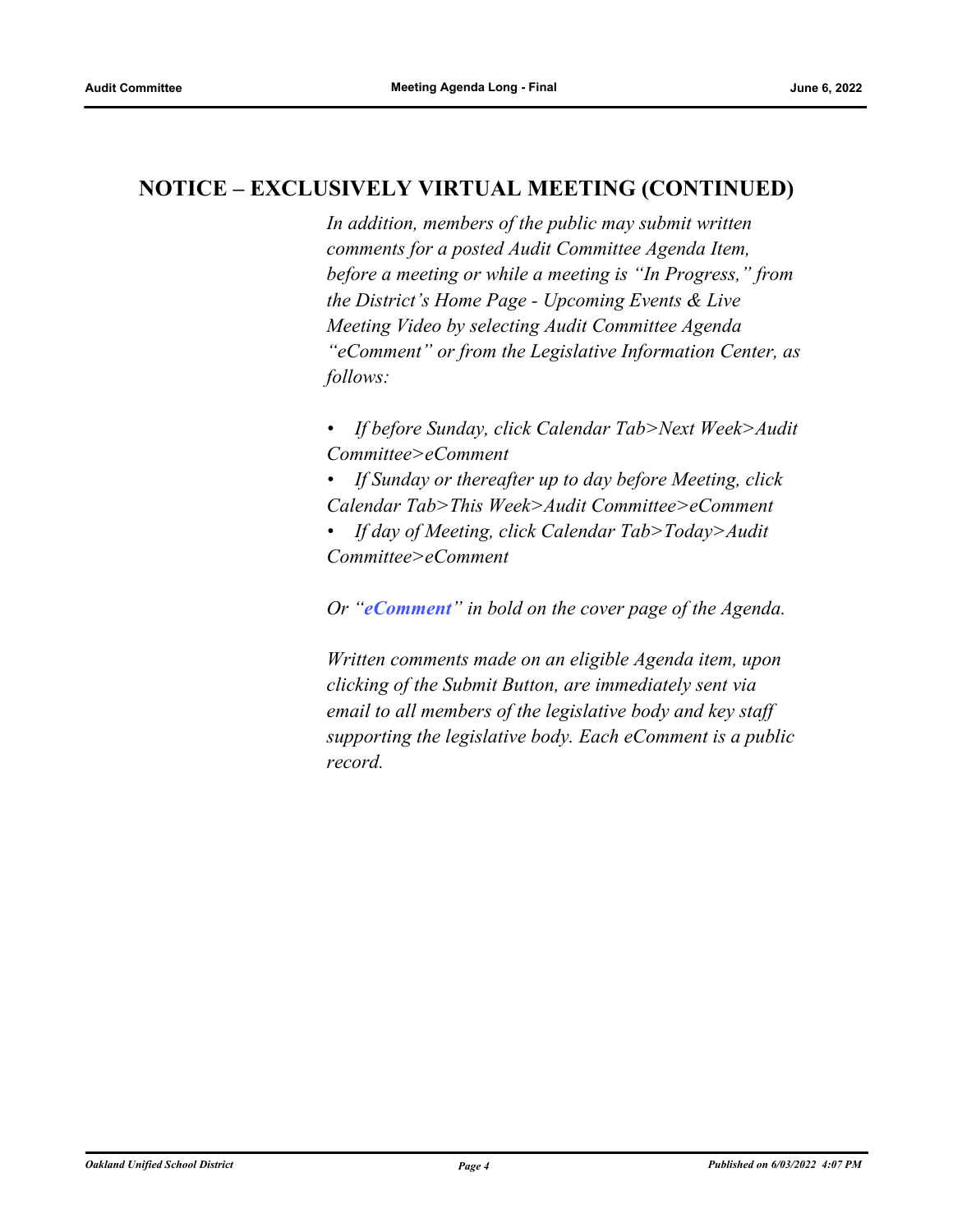## **NOTICE – EXCLUSIVELY VIRTUAL MEETING (CONTINUED)**

*In addition, members of the public may submit written comments for a posted Audit Committee Agenda Item, before a meeting or while a meeting is "In Progress," from the District's Home Page - Upcoming Events & Live Meeting Video by selecting Audit Committee Agenda "eComment" or from the Legislative Information Center, as follows:*

- *If before Sunday, click Calendar Tab>Next Week>Audit Committee>eComment*
- *If Sunday or thereafter up to day before Meeting, click Calendar Tab>This Week>Audit Committee>eComment*
- *If day of Meeting, click Calendar Tab>Today>Audit Committee>eComment*

*Or "eComment" in bold on the cover page of the Agenda.* 

*Written comments made on an eligible Agenda item, upon clicking of the Submit Button, are immediately sent via email to all members of the legislative body and key staff supporting the legislative body. Each eComment is a public record.*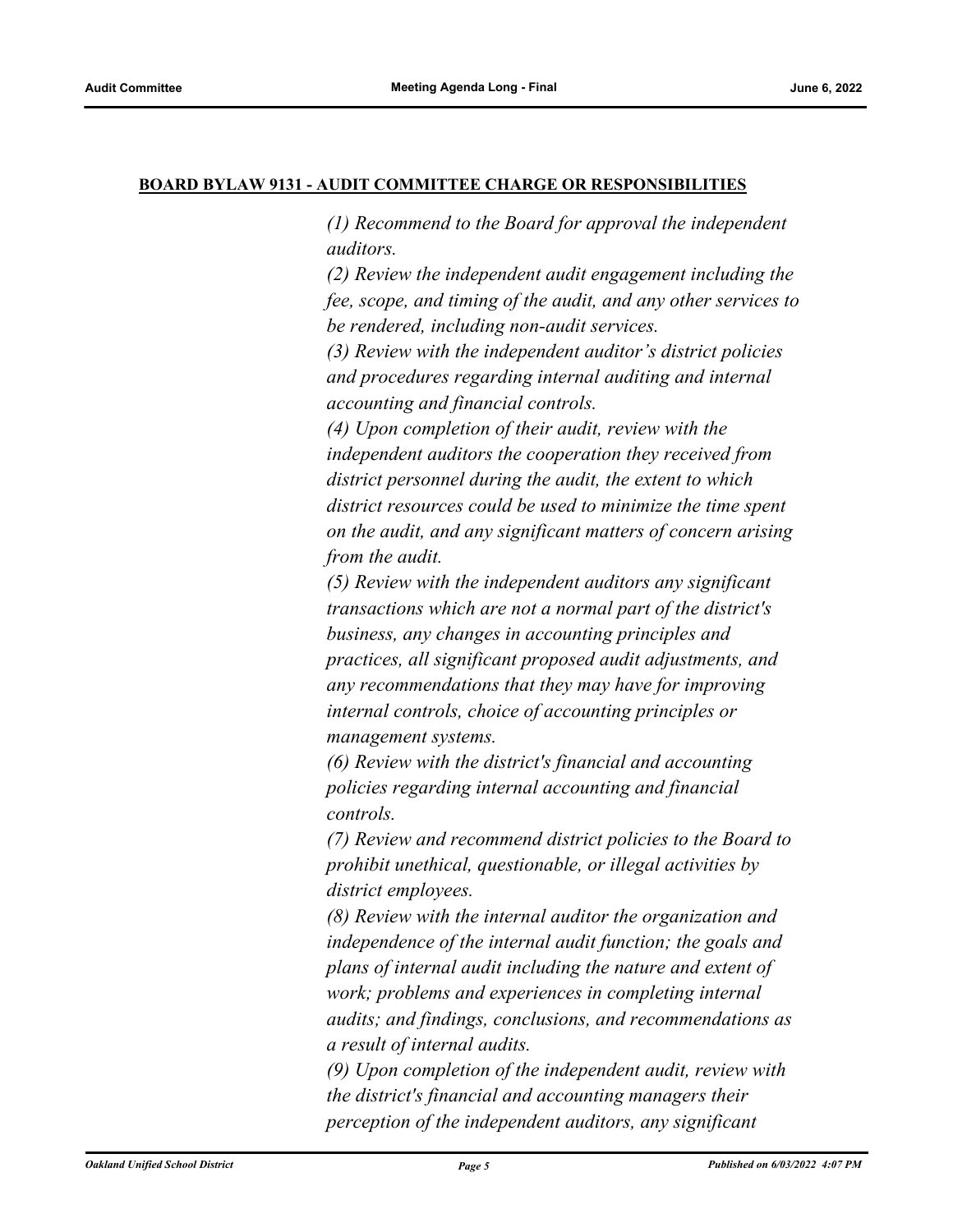#### **BOARD BYLAW 9131 - AUDIT COMMITTEE CHARGE OR RESPONSIBILITIES**

*(1) Recommend to the Board for approval the independent auditors.*

*(2) Review the independent audit engagement including the fee, scope, and timing of the audit, and any other services to be rendered, including non-audit services.*

*(3) Review with the independent auditor's district policies and procedures regarding internal auditing and internal accounting and financial controls.*

*(4) Upon completion of their audit, review with the independent auditors the cooperation they received from district personnel during the audit, the extent to which district resources could be used to minimize the time spent on the audit, and any significant matters of concern arising from the audit.*

*(5) Review with the independent auditors any significant transactions which are not a normal part of the district's business, any changes in accounting principles and practices, all significant proposed audit adjustments, and any recommendations that they may have for improving internal controls, choice of accounting principles or management systems.*

*(6) Review with the district's financial and accounting policies regarding internal accounting and financial controls.*

*(7) Review and recommend district policies to the Board to prohibit unethical, questionable, or illegal activities by district employees.*

*(8) Review with the internal auditor the organization and independence of the internal audit function; the goals and plans of internal audit including the nature and extent of work; problems and experiences in completing internal audits; and findings, conclusions, and recommendations as a result of internal audits.*

*(9) Upon completion of the independent audit, review with the district's financial and accounting managers their perception of the independent auditors, any significant*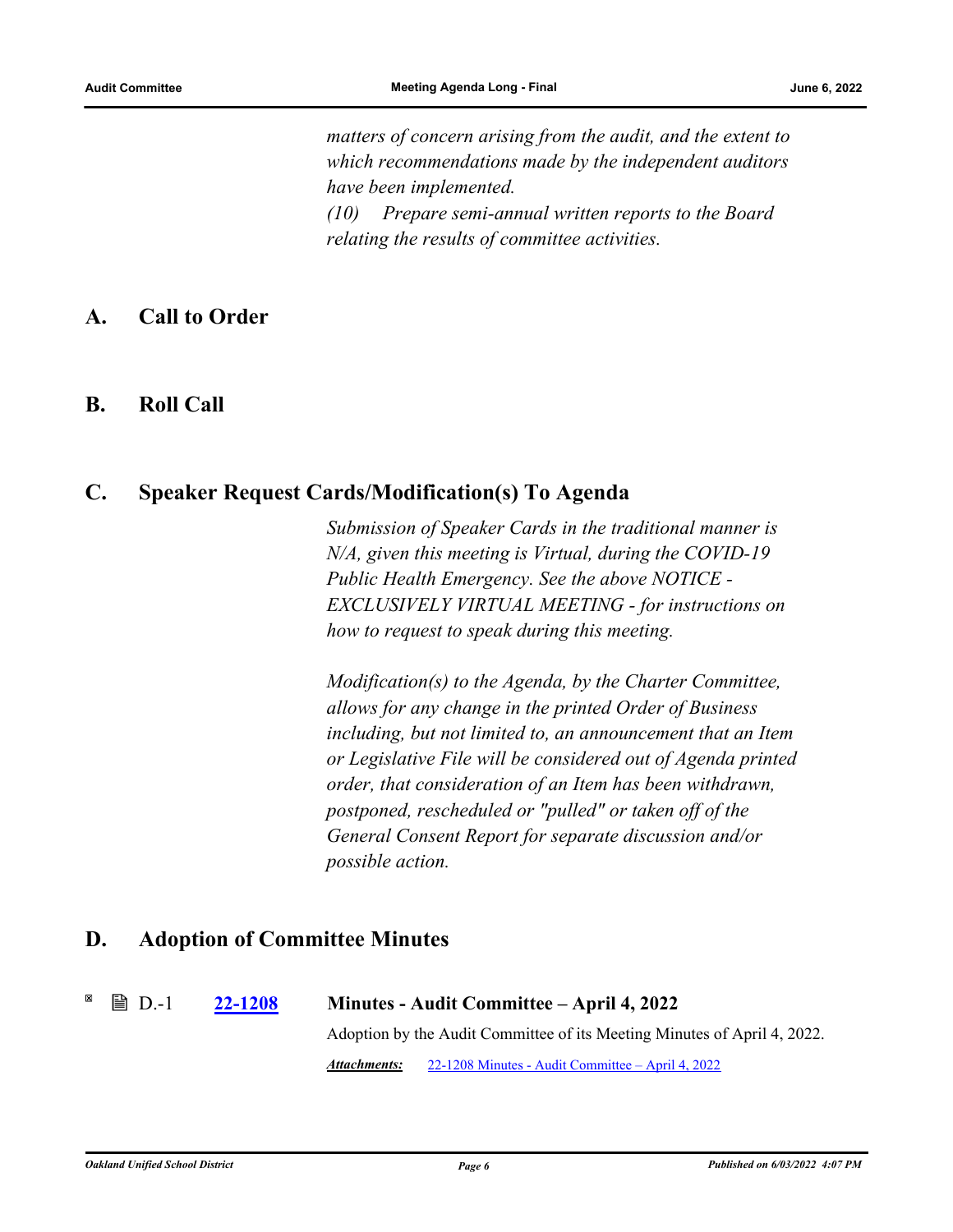*matters of concern arising from the audit, and the extent to which recommendations made by the independent auditors have been implemented. (10) Prepare semi-annual written reports to the Board relating the results of committee activities.*

#### **A. Call to Order**

**B. Roll Call**

### **C. Speaker Request Cards/Modification(s) To Agenda**

*Submission of Speaker Cards in the traditional manner is N/A, given this meeting is Virtual, during the COVID-19 Public Health Emergency. See the above NOTICE - EXCLUSIVELY VIRTUAL MEETING - for instructions on how to request to speak during this meeting.*

*Modification(s) to the Agenda, by the Charter Committee, allows for any change in the printed Order of Business including, but not limited to, an announcement that an Item or Legislative File will be considered out of Agenda printed order, that consideration of an Item has been withdrawn, postponed, rescheduled or "pulled" or taken off of the General Consent Report for separate discussion and/or possible action.*

#### **D. Adoption of Committee Minutes**

D.-1 **[22-1208](http://ousd.legistar.com/gateway.aspx?m=l&id=/matter.aspx?key=55502) Minutes - Audit Committee – April 4, 2022** Adoption by the Audit Committee of its Meeting Minutes of April 4, 2022. *Attachments:* [22-1208 Minutes - Audit Committee – April 4, 2022](https://ousd.legistar.com/View.ashx?M=M&ID=954003&GUID=F9AF54CB-51FE-48A0-AA91-65CDE469C7BB)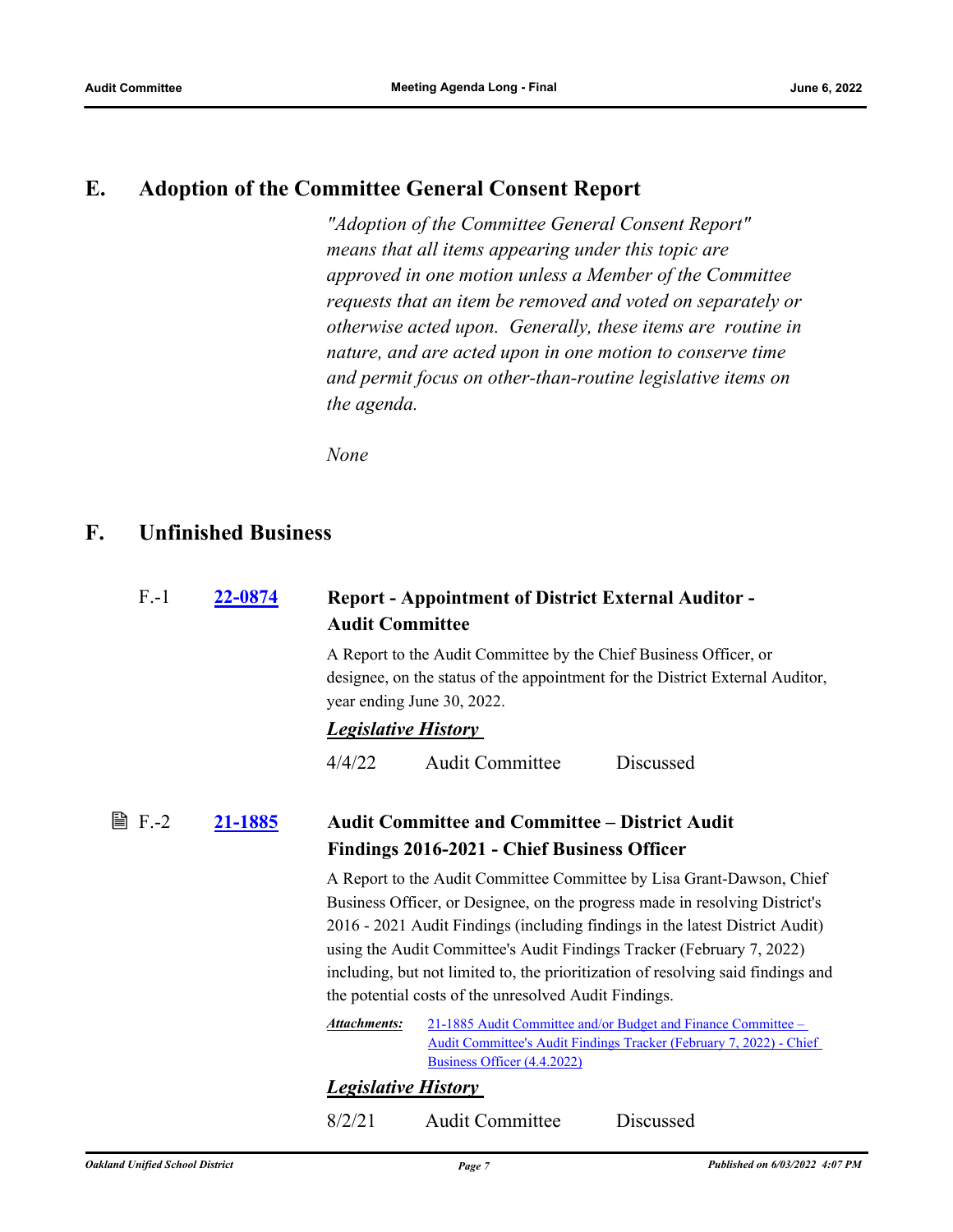### **E. Adoption of the Committee General Consent Report**

*"Adoption of the Committee General Consent Report" means that all items appearing under this topic are approved in one motion unless a Member of the Committee requests that an item be removed and voted on separately or otherwise acted upon. Generally, these items are routine in nature, and are acted upon in one motion to conserve time and permit focus on other-than-routine legislative items on the agenda.*

*None*

## **F. Unfinished Business**

| $F - 1$       | 22-0874 | <b>Report - Appointment of District External Auditor -</b><br><b>Audit Committee</b><br>A Report to the Audit Committee by the Chief Business Officer, or<br>designee, on the status of the appointment for the District External Auditor,<br>year ending June 30, 2022.                                                                                                                                                                                   |                             |                                                                                                                                              |
|---------------|---------|------------------------------------------------------------------------------------------------------------------------------------------------------------------------------------------------------------------------------------------------------------------------------------------------------------------------------------------------------------------------------------------------------------------------------------------------------------|-----------------------------|----------------------------------------------------------------------------------------------------------------------------------------------|
|               |         |                                                                                                                                                                                                                                                                                                                                                                                                                                                            |                             |                                                                                                                                              |
|               |         | <b>Legislative History</b>                                                                                                                                                                                                                                                                                                                                                                                                                                 |                             |                                                                                                                                              |
|               |         | 4/4/22                                                                                                                                                                                                                                                                                                                                                                                                                                                     | <b>Audit Committee</b>      | <b>Discussed</b>                                                                                                                             |
| <b>■ F.-2</b> | 21-1885 | <b>Audit Committee and Committee - District Audit</b><br>Findings 2016-2021 - Chief Business Officer                                                                                                                                                                                                                                                                                                                                                       |                             |                                                                                                                                              |
|               |         | A Report to the Audit Committee Committee by Lisa Grant-Dawson, Chief<br>Business Officer, or Designee, on the progress made in resolving District's<br>2016 - 2021 Audit Findings (including findings in the latest District Audit)<br>using the Audit Committee's Audit Findings Tracker (February 7, 2022)<br>including, but not limited to, the prioritization of resolving said findings and<br>the potential costs of the unresolved Audit Findings. |                             |                                                                                                                                              |
|               |         | Attachments:                                                                                                                                                                                                                                                                                                                                                                                                                                               | Business Officer (4.4.2022) | 21-1885 Audit Committee and/or Budget and Finance Committee –<br><u> Audit Committee's Audit Findings Tracker (February 7, 2022) - Chief</u> |
|               |         | <u><b>Legislative History</b></u>                                                                                                                                                                                                                                                                                                                                                                                                                          |                             |                                                                                                                                              |
|               |         | 8/2/21                                                                                                                                                                                                                                                                                                                                                                                                                                                     | <b>Audit Committee</b>      | Discussed                                                                                                                                    |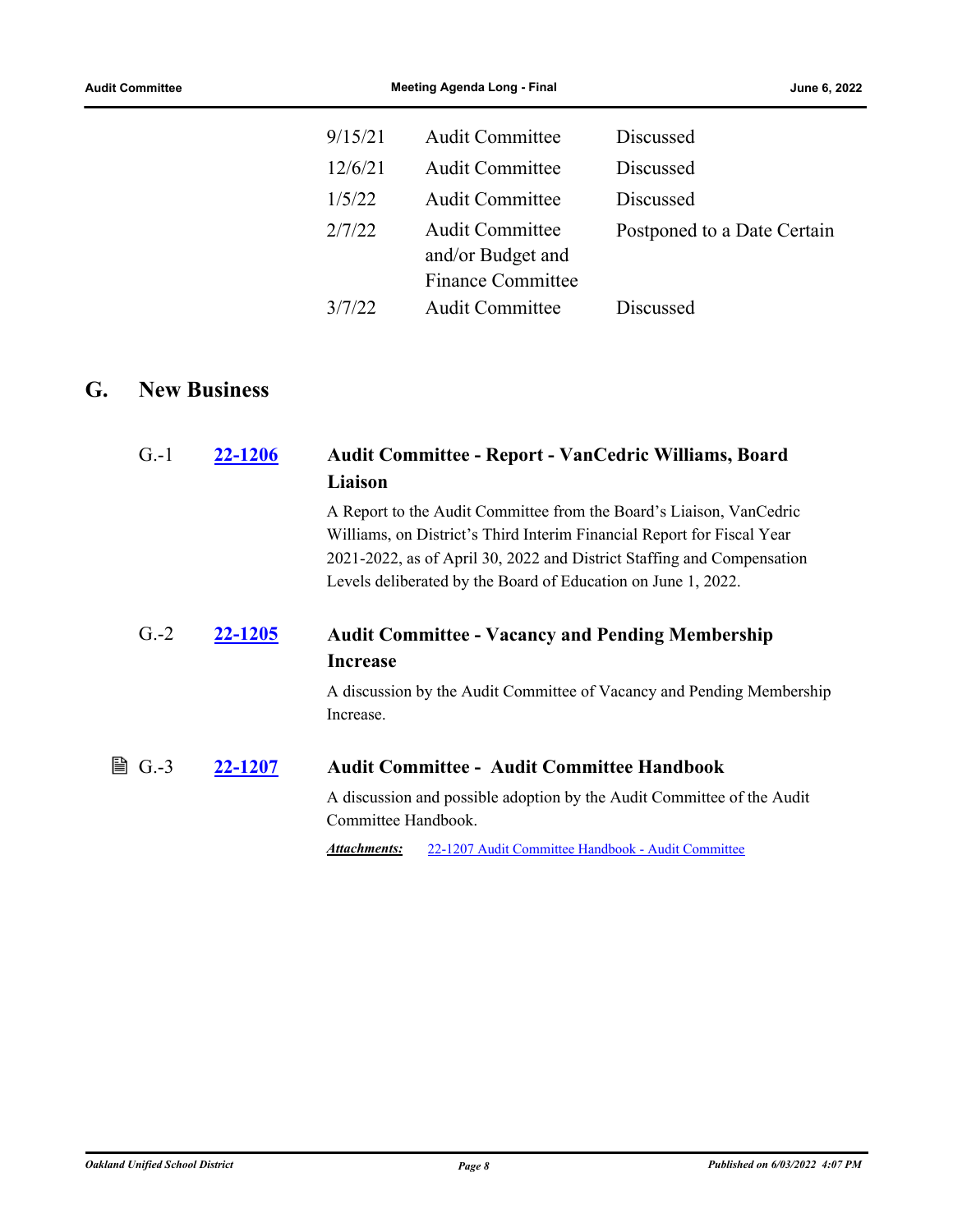and/or Budget and Finance Committee

3/7/22 Audit Committee Discussed

### **G. New Business**

| $G - 1$     | 22-1206 | <b>Audit Committee - Report - VanCedric Williams, Board</b><br>Liaison                                                                                                                                                                                                                   |  |  |
|-------------|---------|------------------------------------------------------------------------------------------------------------------------------------------------------------------------------------------------------------------------------------------------------------------------------------------|--|--|
|             |         | A Report to the Audit Committee from the Board's Liaison, VanCedric<br>Williams, on District's Third Interim Financial Report for Fiscal Year<br>2021-2022, as of April 30, 2022 and District Staffing and Compensation<br>Levels deliberated by the Board of Education on June 1, 2022. |  |  |
| $G.-2$      | 22-1205 | <b>Audit Committee - Vacancy and Pending Membership</b><br><b>Increase</b>                                                                                                                                                                                                               |  |  |
|             |         | A discussion by the Audit Committee of Vacancy and Pending Membership<br>Increase.                                                                                                                                                                                                       |  |  |
| 闓<br>$G.-3$ | 22-1207 | <b>Audit Committee - Audit Committee Handbook</b>                                                                                                                                                                                                                                        |  |  |
|             |         | A discussion and possible adoption by the Audit Committee of the Audit<br>Committee Handbook.                                                                                                                                                                                            |  |  |
|             |         | Attachments:<br>22-1207 Audit Committee Handbook - Audit Committee                                                                                                                                                                                                                       |  |  |